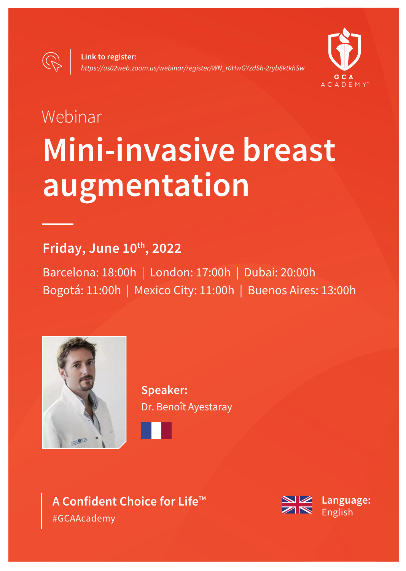

# Webinar **Mini-invasive breast augmentation**

## **Friday, June 10th, 2022**

Barcelona: 18:00h | London: 17:00h | Dubai: 20:00h Bogotá: 11:00h | Mexico City: 11:00h | Buenos Aires: 13:00h



**Speaker:**  Dr. Benoît Ayestaray



**A Confident Choice for Life™** #GCAAcademy